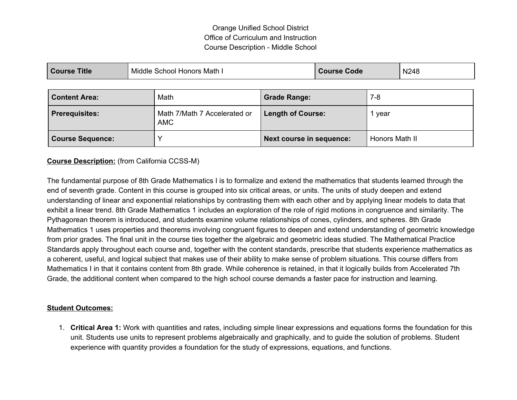# Orange Unified School District Office of Curriculum and Instruction Course Description - Middle School

| <b>Course Title</b>     |  | Middle School Honors Math I                | <b>Course Code</b>              |        | N248           |  |
|-------------------------|--|--------------------------------------------|---------------------------------|--------|----------------|--|
| <b>Content Area:</b>    |  | Math                                       | <b>Grade Range:</b>             | $7-8$  |                |  |
| <b>Prerequisites:</b>   |  | Math 7/Math 7 Accelerated or<br><b>AMC</b> | <b>Length of Course:</b>        | 1 year |                |  |
| <b>Course Sequence:</b> |  |                                            | <b>Next course in sequence:</b> |        | Honors Math II |  |

#### **Course Description:** (from California CCSS-M)

The fundamental purpose of 8th Grade Mathematics I is to formalize and extend the mathematics that students learned through the end of seventh grade. Content in this course is grouped into six critical areas, or units. The units of study deepen and extend understanding of linear and exponential relationships by contrasting them with each other and by applying linear models to data that exhibit a linear trend. 8th Grade Mathematics 1 includes an exploration of the role of rigid motions in congruence and similarity. The Pythagorean theorem is introduced, and students examine volume relationships of cones, cylinders, and spheres. 8th Grade Mathematics 1 uses properties and theorems involving congruent figures to deepen and extend understanding of geometric knowledge from prior grades. The final unit in the course ties together the algebraic and geometric ideas studied. The Mathematical Practice Standards apply throughout each course and, together with the content standards, prescribe that students experience mathematics as a coherent, useful, and logical subject that makes use of their ability to make sense of problem situations. This course differs from Mathematics I in that it contains content from 8th grade. While coherence is retained, in that it logically builds from Accelerated 7th Grade, the additional content when compared to the high school course demands a faster pace for instruction and learning.

#### **Student Outcomes:**

1. **Critical Area 1:** Work with quantities and rates, including simple linear expressions and equations forms the foundation for this unit. Students use units to represent problems algebraically and graphically, and to guide the solution of problems. Student experience with quantity provides a foundation for the study of expressions, equations, and functions.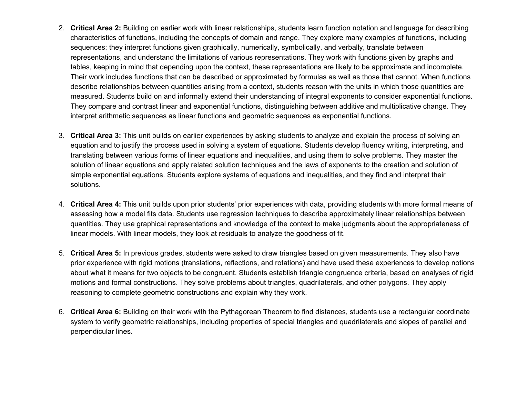- 2. **Critical Area 2:** Building on earlier work with linear relationships, students learn function notation and language for describing characteristics of functions, including the concepts of domain and range. They explore many examples of functions, including sequences; they interpret functions given graphically, numerically, symbolically, and verbally, translate between representations, and understand the limitations of various representations. They work with functions given by graphs and tables, keeping in mind that depending upon the context, these representations are likely to be approximate and incomplete. Their work includes functions that can be described or approximated by formulas as well as those that cannot. When functions describe relationships between quantities arising from a context, students reason with the units in which those quantities are measured. Students build on and informally extend their understanding of integral exponents to consider exponential functions. They compare and contrast linear and exponential functions, distinguishing between additive and multiplicative change. They interpret arithmetic sequences as linear functions and geometric sequences as exponential functions.
- 3. **Critical Area 3:** This unit builds on earlier experiences by asking students to analyze and explain the process of solving an equation and to justify the process used in solving a system of equations. Students develop fluency writing, interpreting, and translating between various forms of linear equations and inequalities, and using them to solve problems. They master the solution of linear equations and apply related solution techniques and the laws of exponents to the creation and solution of simple exponential equations. Students explore systems of equations and inequalities, and they find and interpret their solutions.
- 4. **Critical Area 4:** This unit builds upon prior students' prior experiences with data, providing students with more formal means of assessing how a model fits data. Students use regression techniques to describe approximately linear relationships between quantities. They use graphical representations and knowledge of the context to make judgments about the appropriateness of linear models. With linear models, they look at residuals to analyze the goodness of fit.
- 5. **Critical Area 5:** In previous grades, students were asked to draw triangles based on given measurements. They also have prior experience with rigid motions (translations, reflections, and rotations) and have used these experiences to develop notions about what it means for two objects to be congruent. Students establish triangle congruence criteria, based on analyses of rigid motions and formal constructions. They solve problems about triangles, quadrilaterals, and other polygons. They apply reasoning to complete geometric constructions and explain why they work.
- 6. **Critical Area 6:** Building on their work with the Pythagorean Theorem to find distances, students use a rectangular coordinate system to verify geometric relationships, including properties of special triangles and quadrilaterals and slopes of parallel and perpendicular lines.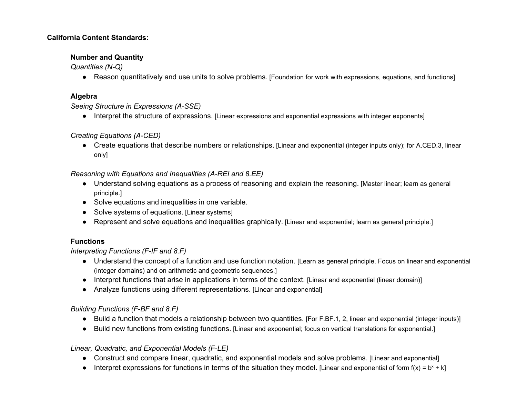#### **California Content Standards:**

#### **Number and Quantity**

*Quantities (N-Q)* 

● Reason quantitatively and use units to solve problems. [Foundation for work with expressions, equations, and functions]

#### **Algebra**

*Seeing Structure in Expressions (A-SSE)* 

● Interpret the structure of expressions. [Linear expressions and exponential expressions with integer exponents]

## *Creating Equations (A-CED)*

● Create equations that describe numbers or relationships. [Linear and exponential (integer inputs only); for A.CED.3, linear only]

#### *Reasoning with Equations and Inequalities (A-REI and 8.EE)*

- Understand solving equations as a process of reasoning and explain the reasoning. [Master linear; learn as general principle.]
- Solve equations and inequalities in one variable.
- Solve systems of equations. [Linear systems]
- Represent and solve equations and inequalities graphically. [Linear and exponential; learn as general principle.]

## **Functions**

#### *Interpreting Functions (F-IF and 8.F)*

- Understand the concept of a function and use function notation. [Learn as general principle. Focus on linear and exponential (integer domains) and on arithmetic and geometric sequences.]
- Interpret functions that arise in applications in terms of the context. [Linear and exponential (linear domain)]
- Analyze functions using different representations. [Linear and exponential]

## *Building Functions (F-BF and 8.F)*

- Build a function that models a relationship between two quantities. [For F.BF.1, 2, linear and exponential (integer inputs)]
- Build new functions from existing functions. [Linear and exponential; focus on vertical translations for exponential.]

## *Linear, Quadratic, and Exponential Models (F-LE)*

- Construct and compare linear, quadratic, and exponential models and solve problems. [Linear and exponential]
- Interpret expressions for functions in terms of the situation they model. [Linear and exponential of form  $f(x) = b^x + k$ ]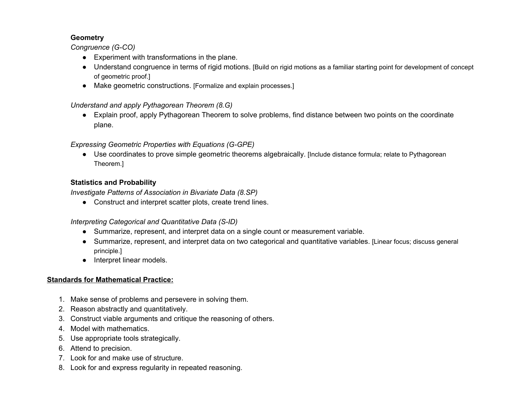## **Geometry**

*Congruence (G-CO)* 

- Experiment with transformations in the plane.
- Understand congruence in terms of rigid motions. [Build on rigid motions as <sup>a</sup> familiar starting point for development of concept of geometric proof.]
- Make geometric constructions. [Formalize and explain processes.]

# *Understand and apply Pythagorean Theorem (8.G)*

● Explain proof, apply Pythagorean Theorem to solve problems, find distance between two points on the coordinate plane.

# *Expressing Geometric Properties with Equations (G-GPE)*

● Use coordinates to prove simple geometric theorems algebraically. [Include distance formula; relate to Pythagorean Theorem.]

# **Statistics and Probability**

*Investigate Patterns of Association in Bivariate Data (8.SP)* 

● Construct and interpret scatter plots, create trend lines.

## *Interpreting Categorical and Quantitative Data (S-ID)*

- Summarize, represent, and interpret data on a single count or measurement variable.
- Summarize, represent, and interpret data on two categorical and quantitative variables. [Linear focus; discuss general principle.]
- Interpret linear models.

## **Standards for Mathematical Practice:**

- 1. Make sense of problems and persevere in solving them.
- 2. Reason abstractly and quantitatively.
- 3. Construct viable arguments and critique the reasoning of others.
- 4. Model with mathematics.
- 5. Use appropriate tools strategically.
- 6. Attend to precision.
- 7. Look for and make use of structure.
- 8. Look for and express regularity in repeated reasoning.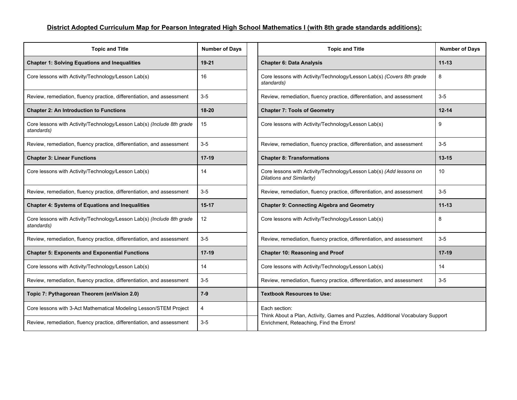# District Adopted Curriculum Map for Pearson Integrated High School Mathematics I (with 8th grade standards additions):

| <b>Topic and Title</b>                                                               | <b>Number of Days</b> | <b>Topic and Title</b>                                                                                                     | <b>Numb</b> |  |
|--------------------------------------------------------------------------------------|-----------------------|----------------------------------------------------------------------------------------------------------------------------|-------------|--|
| <b>Chapter 1: Solving Equations and Inequalities</b>                                 | $19 - 21$             | <b>Chapter 6: Data Analysis</b>                                                                                            | $11 - 13$   |  |
| Core lessons with Activity/Technology/Lesson Lab(s)                                  | 16                    | Core lessons with Activity/Technology/Lesson Lab(s) (Covers 8th grade<br>standards)                                        | 8           |  |
| Review, remediation, fluency practice, differentiation, and assessment               | $3-5$                 | Review, remediation, fluency practice, differentiation, and assessment                                                     | $3-5$       |  |
| <b>Chapter 2: An Introduction to Functions</b>                                       | 18-20                 | <b>Chapter 7: Tools of Geometry</b>                                                                                        | $12 - 14$   |  |
| Core lessons with Activity/Technology/Lesson Lab(s) (Include 8th grade<br>standards) | 15                    | Core lessons with Activity/Technology/Lesson Lab(s)                                                                        | 9           |  |
| Review, remediation, fluency practice, differentiation, and assessment               | $3-5$                 | Review, remediation, fluency practice, differentiation, and assessment                                                     | $3-5$       |  |
| <b>Chapter 3: Linear Functions</b>                                                   | $17-19$               | <b>Chapter 8: Transformations</b>                                                                                          | $13 - 15$   |  |
| Core lessons with Activity/Technology/Lesson Lab(s)                                  | 14                    | Core lessons with Activity/Technology/Lesson Lab(s) (Add lessons on<br>Dilations and Similarity)                           | 10          |  |
| Review, remediation, fluency practice, differentiation, and assessment               | $3-5$                 | Review, remediation, fluency practice, differentiation, and assessment                                                     | $3-5$       |  |
| <b>Chapter 4: Systems of Equations and Inequalities</b>                              | $15-17$               | <b>Chapter 9: Connecting Algebra and Geometry</b>                                                                          | $11 - 13$   |  |
| Core lessons with Activity/Technology/Lesson Lab(s) (Include 8th grade<br>standards) | 12                    | Core lessons with Activity/Technology/Lesson Lab(s)                                                                        | 8           |  |
| Review, remediation, fluency practice, differentiation, and assessment               | $3-5$                 | Review, remediation, fluency practice, differentiation, and assessment                                                     | $3-5$       |  |
| <b>Chapter 5: Exponents and Exponential Functions</b>                                | $17-19$               | <b>Chapter 10: Reasoning and Proof</b>                                                                                     | $17-19$     |  |
| Core lessons with Activity/Technology/Lesson Lab(s)                                  | 14                    | Core lessons with Activity/Technology/Lesson Lab(s)                                                                        | 14          |  |
| Review, remediation, fluency practice, differentiation, and assessment               | $3-5$                 | Review, remediation, fluency practice, differentiation, and assessment                                                     | $3-5$       |  |
| Topic 7: Pythagorean Theorem (enVision 2.0)                                          | $7-9$                 | <b>Textbook Resources to Use:</b>                                                                                          |             |  |
| Core lessons with 3-Act Mathematical Modeling Lesson/STEM Project                    | $\overline{4}$        | Each section:                                                                                                              |             |  |
| Review, remediation, fluency practice, differentiation, and assessment               | $3-5$                 | Think About a Plan, Activity, Games and Puzzles, Additional Vocabulary Support<br>Enrichment, Reteaching, Find the Errors! |             |  |

| <b>Topic and Title</b>                      | <b>Number of Days</b> | <b>Topic and Title</b>                                                                                                     | <b>Number of Days</b> |  |  |  |
|---------------------------------------------|-----------------------|----------------------------------------------------------------------------------------------------------------------------|-----------------------|--|--|--|
| ons and Inequalities                        | 19-21                 | <b>Chapter 6: Data Analysis</b>                                                                                            | $11 - 13$             |  |  |  |
| echnology/Lesson Lab(s)                     | 16                    | Core lessons with Activity/Technology/Lesson Lab(s) (Covers 8th grade<br>standards)                                        | 8                     |  |  |  |
| y practice, differentiation, and assessment | $3-5$                 | Review, remediation, fluency practice, differentiation, and assessment                                                     | $3-5$                 |  |  |  |
| <b>to Functions</b>                         | 18-20                 | <b>Chapter 7: Tools of Geometry</b>                                                                                        | $12 - 14$             |  |  |  |
| echnology/Lesson Lab(s) (Include 8th grade  | 15                    | Core lessons with Activity/Technology/Lesson Lab(s)                                                                        | 9                     |  |  |  |
| y practice, differentiation, and assessment | $3-5$                 | Review, remediation, fluency practice, differentiation, and assessment                                                     | $3-5$                 |  |  |  |
| าร                                          | $17-19$               | <b>Chapter 8: Transformations</b>                                                                                          | $13 - 15$             |  |  |  |
| echnology/Lesson Lab(s)                     | 14                    | Core lessons with Activity/Technology/Lesson Lab(s) (Add lessons on<br>Dilations and Similarity)                           | 10                    |  |  |  |
| y practice, differentiation, and assessment | $3-5$                 | Review, remediation, fluency practice, differentiation, and assessment                                                     | $3-5$                 |  |  |  |
| ations and Inequalities                     | $15-17$               | <b>Chapter 9: Connecting Algebra and Geometry</b>                                                                          | $11 - 13$             |  |  |  |
| echnology/Lesson Lab(s) (Include 8th grade  | $12 \overline{ }$     | Core lessons with Activity/Technology/Lesson Lab(s)                                                                        | 8                     |  |  |  |
| y practice, differentiation, and assessment | $3-5$                 | Review, remediation, fluency practice, differentiation, and assessment                                                     | $3-5$                 |  |  |  |
| <b>Exponential Functions</b>                | $17-19$               | <b>Chapter 10: Reasoning and Proof</b>                                                                                     | $17 - 19$             |  |  |  |
| echnology/Lesson Lab(s)                     | 14                    | Core lessons with Activity/Technology/Lesson Lab(s)                                                                        | 14                    |  |  |  |
| y practice, differentiation, and assessment | $3-5$                 | Review, remediation, fluency practice, differentiation, and assessment                                                     | $3-5$                 |  |  |  |
| orem (enVision 2.0)                         | $7 - 9$               | <b>Textbook Resources to Use:</b>                                                                                          |                       |  |  |  |
| hematical Modeling Lesson/STEM Project      | 4                     | Each section:                                                                                                              |                       |  |  |  |
| y practice, differentiation, and assessment | $3-5$                 | Think About a Plan, Activity, Games and Puzzles, Additional Vocabulary Support<br>Enrichment, Reteaching, Find the Errors! |                       |  |  |  |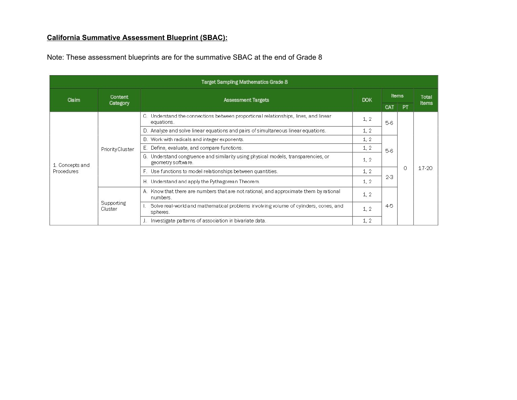# **California Summative Assessment Blueprint (SBAC):**

Note: These assessment blueprints are for the summative SBAC at the end of Grade 8

|                                      |                                                                                                                                                                  | Target Sampling Mathematics Grade 8                                                                     |            |         |                |           |  |
|--------------------------------------|------------------------------------------------------------------------------------------------------------------------------------------------------------------|---------------------------------------------------------------------------------------------------------|------------|---------|----------------|-----------|--|
| Claim                                | Content<br>Category                                                                                                                                              | Assessment Targets                                                                                      | <b>DOK</b> | Items   | Total<br>Items |           |  |
| 1. Concepts and<br><b>Procedures</b> |                                                                                                                                                                  |                                                                                                         |            | CAT     | <b>PT</b>      |           |  |
|                                      |                                                                                                                                                                  | C. Understand the connections between proportional relationships, lines, and linear<br>equations.       | 1, 2       | $5-6$   | 0              |           |  |
|                                      |                                                                                                                                                                  | D. Analyze and solve linear equations and pairs of simultaneous linear equations.                       | 1, 2       |         |                |           |  |
|                                      |                                                                                                                                                                  | B. Work with radicals and integer exponents.                                                            | 1, 2       |         |                |           |  |
|                                      | Priority Cluster                                                                                                                                                 | E. Define, evaluate, and compare functions.                                                             | 1, 2       | $5-6$   |                |           |  |
|                                      |                                                                                                                                                                  | G. Understand congruence and similarity using physical models, transparencies, or<br>geometry software. | 1, 2       |         |                |           |  |
|                                      | F. Use functions to model relationships between quantities.<br>H. Understand and apply the Pythagorean Theorem.<br>numbers.<br>Supporting<br>Cluster<br>spheres. |                                                                                                         | 1, 2       | $2 - 3$ |                | $17 - 20$ |  |
|                                      |                                                                                                                                                                  |                                                                                                         | 1, 2       |         |                |           |  |
|                                      |                                                                                                                                                                  | A. Know that there are numbers that are not rational, and approximate them by rational                  | 1, 2       |         |                |           |  |
|                                      |                                                                                                                                                                  | Solve real-world and mathematical problems involving volume of cylinders, cones, and                    | 1, 2       | $4-5$   |                |           |  |
|                                      |                                                                                                                                                                  | J. Investigate patterns of association in bivariate data.                                               | 1, 2       |         |                |           |  |